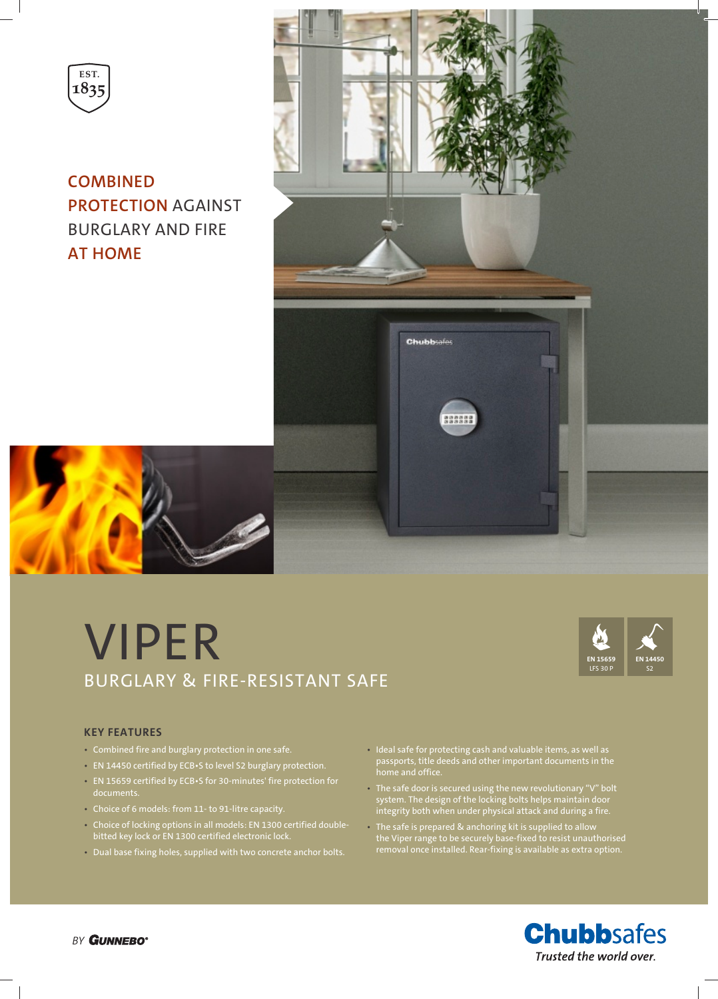

**COMBINED PROTECTION** AGAINST BURGLARY AND FIRE **AT HOME**



# VIPER BURGLARY & FIRE-RESISTANT SAFE



### **KEY FEATURES**

- Combined fire and burglary protection in one safe.
- EN 14450 certified by ECB•S to level S2 burglary protection.
- EN 15659 certified by ECB•S for 30-minutes' fire protection for documents.
- Choice of 6 models: from 11- to 91-litre capacity.
- Choice of locking options in all models: EN 1300 certified doublebitted key lock or EN 1300 certified electronic lock.
- Dual base fixing holes, supplied with two concrete anchor bolts.
- Ideal safe for protecting cash and valuable items, as well as passports, title deeds and other important documents in the home and office.
- The safe door is secured using the new revolutionary "V" bolt system. The design of the locking bolts helps maintain door integrity both when under physical attack and during a fire.
- The safe is prepared & anchoring kit is supplied to allow the Viper range to be securely base-fixed to resist unauthorised removal once installed. Rear-fixing is available as extra option.